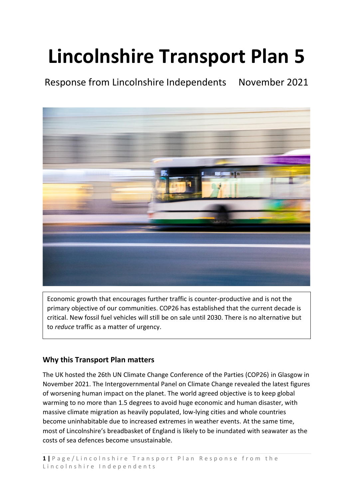# **Lincolnshire Transport Plan 5**

Response from Lincolnshire Independents November 2021



Economic growth that encourages further traffic is counter-productive and is not the primary objective of our communities. COP26 has established that the current decade is critical. New fossil fuel vehicles will still be on sale until 2030. There is no alternative but to *reduce* traffic as a matter of urgency.

## **Why this Transport Plan matters**

The UK hosted the 26th UN Climate Change Conference of the Parties (COP26) in Glasgow in November 2021. The Intergovernmental Panel on Climate Change revealed the latest figures of worsening human impact on the planet. The world agreed objective is to keep global warming to no more than 1.5 degrees to avoid huge economic and human disaster, with massive climate migration as heavily populated, low-lying cities and whole countries become uninhabitable due to increased extremes in weather events. At the same time, most of Lincolnshire's breadbasket of England is likely to be inundated with seawater as the costs of sea defences become unsustainable*.*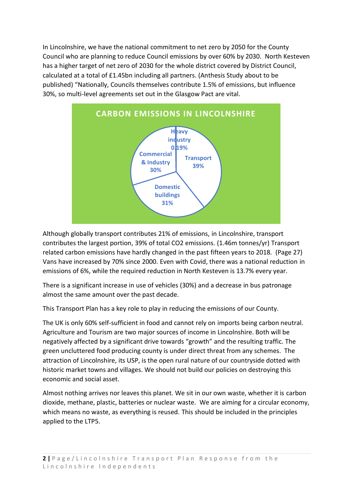In Lincolnshire, we have the national commitment to net zero by 2050 for the County Council who are planning to reduce Council emissions by over 60% by 2030. North Kesteven has a higher target of net zero of 2030 for the whole district covered by District Council, calculated at a total of £1.45bn including all partners. (Anthesis Study about to be published) "Nationally, Councils themselves contribute 1.5% of emissions, but influence 30%, so multi-level agreements set out in the Glasgow Pact are vital.



Although globally transport contributes 21% of emissions, in Lincolnshire, transport contributes the largest portion, 39% of total CO2 emissions. (1.46m tonnes/yr) Transport related carbon emissions have hardly changed in the past fifteen years to 2018. (Page 27) Vans have increased by 70% since 2000. Even with Covid, there was a national reduction in emissions of 6%, while the required reduction in North Kesteven is 13.7% every year.

There is a significant increase in use of vehicles (30%) and a decrease in bus patronage almost the same amount over the past decade.

This Transport Plan has a key role to play in reducing the emissions of our County.

The UK is only 60% self-sufficient in food and cannot rely on imports being carbon neutral. Agriculture and Tourism are two major sources of income in Lincolnshire. Both will be negatively affected by a significant drive towards "growth" and the resulting traffic. The green uncluttered food producing county is under direct threat from any schemes. The attraction of Lincolnshire, its USP, is the open rural nature of our countryside dotted with historic market towns and villages. We should not build our policies on destroying this economic and social asset.

Almost nothing arrives nor leaves this planet. We sit in our own waste, whether it is carbon dioxide, methane, plastic, batteries or nuclear waste. We are aiming for a circular economy, which means no waste, as everything is reused. This should be included in the principles applied to the LTP5.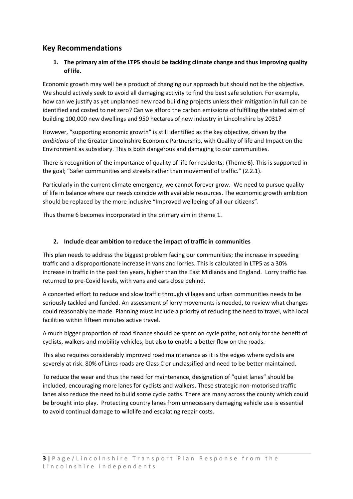### **Key Recommendations**

#### **1. The primary aim of the LTP5 should be tackling climate change and thus improving quality of life.**

Economic growth may well be a product of changing our approach but should not be the objective. We should actively seek to avoid all damaging activity to find the best safe solution. For example, how can we justify as yet unplanned new road building projects unless their mitigation in full can be identified and costed to net zero? Can we afford the carbon emissions of fulfilling the stated aim of building 100,000 new dwellings and 950 hectares of new industry in Lincolnshire by 2031?

However, "supporting economic growth" is still identified as the key objective, driven by the *ambitions* of the Greater Lincolnshire Economic Partnership, with Quality of life and Impact on the Environment as subsidiary. This is both dangerous and damaging to our communities.

There is recognition of the importance of quality of life for residents, (Theme 6). This is supported in the goal; "Safer communities and streets rather than movement of traffic." (2.2.1).

Particularly in the current climate emergency, we cannot forever grow. We need to pursue quality of life in balance where our needs coincide with available resources. The economic growth ambition should be replaced by the more inclusive "Improved wellbeing of all our citizens".

Thus theme 6 becomes incorporated in the primary aim in theme 1.

#### **2. Include clear ambition to reduce the impact of traffic in communities**

This plan needs to address the biggest problem facing our communities; the increase in speeding traffic and a disproportionate increase in vans and lorries. This is calculated in LTP5 as a 30% increase in traffic in the past ten years, higher than the East Midlands and England. Lorry traffic has returned to pre-Covid levels, with vans and cars close behind.

A concerted effort to reduce and slow traffic through villages and urban communities needs to be seriously tackled and funded. An assessment of lorry movements is needed, to review what changes could reasonably be made. Planning must include a priority of reducing the need to travel, with local facilities within fifteen minutes active travel.

A much bigger proportion of road finance should be spent on cycle paths, not only for the benefit of cyclists, walkers and mobility vehicles, but also to enable a better flow on the roads.

This also requires considerably improved road maintenance as it is the edges where cyclists are severely at risk. 80% of Lincs roads are Class C or unclassified and need to be better maintained.

To reduce the wear and thus the need for maintenance, designation of "quiet lanes" should be included, encouraging more lanes for cyclists and walkers. These strategic non-motorised traffic lanes also reduce the need to build some cycle paths. There are many across the county which could be brought into play. Protecting country lanes from unnecessary damaging vehicle use is essential to avoid continual damage to wildlife and escalating repair costs.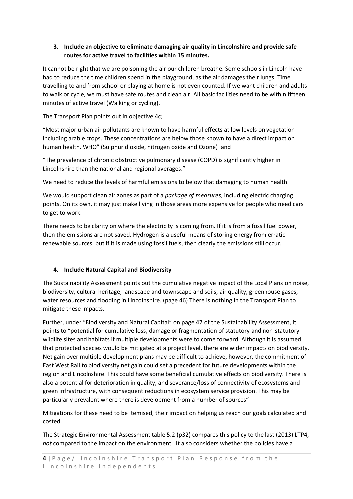#### **3. Include an objective to eliminate damaging air quality in Lincolnshire and provide safe routes for active travel to facilities within 15 minutes.**

It cannot be right that we are poisoning the air our children breathe. Some schools in Lincoln have had to reduce the time children spend in the playground, as the air damages their lungs. Time travelling to and from school or playing at home is not even counted. If we want children and adults to walk or cycle, we must have safe routes and clean air. All basic facilities need to be within fifteen minutes of active travel (Walking or cycling).

The Transport Plan points out in objective 4c;

"Most major urban air pollutants are known to have harmful effects at low levels on vegetation including arable crops. These concentrations are below those known to have a direct impact on human health. WHO" (Sulphur dioxide, nitrogen oxide and Ozone) and

"The prevalence of chronic obstructive pulmonary disease (COPD) is significantly higher in Lincolnshire than the national and regional averages."

We need to reduce the levels of harmful emissions to below that damaging to human health.

We would support clean air zones as part of a *package of measures*, including electric charging points. On its own, it may just make living in those areas more expensive for people who need cars to get to work.

There needs to be clarity on where the electricity is coming from. If it is from a fossil fuel power, then the emissions are not saved. Hydrogen is a useful means of storing energy from erratic renewable sources, but if it is made using fossil fuels, then clearly the emissions still occur.

#### **4. Include Natural Capital and Biodiversity**

The Sustainability Assessment points out the cumulative negative impact of the Local Plans on noise, biodiversity, cultural heritage, landscape and townscape and soils, air quality, greenhouse gases, water resources and flooding in Lincolnshire. (page 46) There is nothing in the Transport Plan to mitigate these impacts.

Further, under "Biodiversity and Natural Capital" on page 47 of the Sustainability Assessment, it points to "potential for cumulative loss, damage or fragmentation of statutory and non-statutory wildlife sites and habitats if multiple developments were to come forward. Although it is assumed that protected species would be mitigated at a project level, there are wider impacts on biodiversity. Net gain over multiple development plans may be difficult to achieve, however, the commitment of East West Rail to biodiversity net gain could set a precedent for future developments within the region and Lincolnshire. This could have some beneficial cumulative effects on biodiversity. There is also a potential for deterioration in quality, and severance/loss of connectivity of ecosystems and green infrastructure, with consequent reductions in ecosystem service provision. This may be particularly prevalent where there is development from a number of sources"

Mitigations for these need to be itemised, their impact on helping us reach our goals calculated and costed.

The Strategic Environmental Assessment table 5.2 (p32) compares this policy to the last (2013) LTP4, *not* compared to the impact on the environment. It also considers whether the policies have a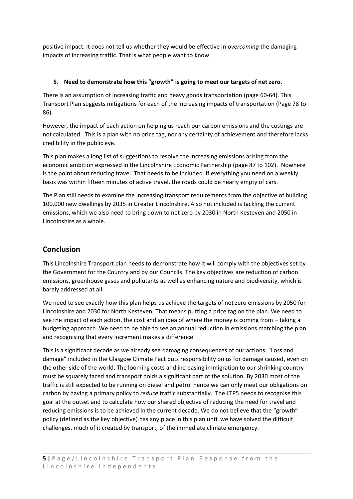positive impact. It does not tell us whether they would be effective in *overcoming* the damaging impacts of increasing traffic. That is what people want to know.

#### **5. Need to demonstrate how this "growth" is going to meet our targets of net zero.**

There is an assumption of increasing traffic and heavy goods transportation (page 60-64). This Transport Plan suggests mitigations for each of the increasing impacts of transportation (Page 78 to 86).

However, the impact of each action on helping us reach our carbon emissions and the costings are not calculated. This is a plan with no price tag, nor any certainty of achievement and therefore lacks credibility in the public eye.

This plan makes a long list of suggestions to resolve the increasing emissions arising from the economic ambition expressed in the Lincolnshire Economic Partnership (page 87 to 102). Nowhere is the point about reducing travel. That needs to be included. If everything you need on a weekly basis was within fifteen minutes of active travel, the roads could be nearly empty of cars.

The Plan still needs to examine the increasing transport requirements from the objective of building 100,000 new dwellings by 2035 in Greater Lincolnshire. Also not included is tackling the current emissions, which we also need to bring down to net zero by 2030 in North Kesteven and 2050 in Lincolnshire as a whole.

## **Conclusion**

This Lincolnshire Transport plan needs to demonstrate how it will comply with the objectives set by the Government for the Country and by our Councils. The key objectives are reduction of carbon emissions, greenhouse gases and pollutants as well as enhancing nature and biodiversity, which is barely addressed at all.

We need to see exactly how this plan helps us achieve the targets of net zero emissions by 2050 for Lincolnshire and 2030 for North Kesteven. That means putting a price tag on the plan. We need to see the impact of each action, the cost and an idea of where the money is coming from – taking a budgeting approach. We need to be able to see an annual reduction in emissions matching the plan and recognising that every increment makes a difference.

This is a significant decade as we already see damaging consequences of our actions. "Loss and damage" included in the Glasgow Climate Pact puts responsibility on us for damage caused, even on the other side of the world. The looming costs and increasing immigration to our shrinking country must be squarely faced and transport holds a significant part of the solution. By 2030 most of the traffic is still expected to be running on diesel and petrol hence we can only meet our obligations on carbon by having a primary policy to *reduce* traffic substantially. The LTP5 needs to recognise this goal at the outset and to calculate how our shared objective of reducing the need for travel and reducing emissions is to be achieved in the current decade. We do not believe that the "growth" policy (defined as the key objective) has any place in this plan until we have solved the difficult challenges, much of it created by transport, of the immediate climate emergency.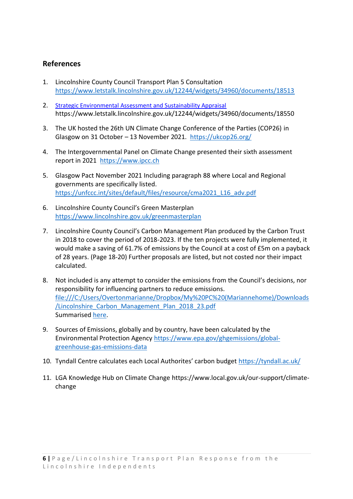## **References**

- 1. Lincolnshire County Council Transport Plan 5 Consultation <https://www.letstalk.lincolnshire.gov.uk/12244/widgets/34960/documents/18513>
- 2. [Strategic Environmental Assessment and Sustainability Appraisal](https://www.letstalk.lincolnshire.gov.uk/local-transport-plan#folder-34960-7123) https://www.letstalk.lincolnshire.gov.uk/12244/widgets/34960/documents/18550
- 3. The UK hosted the 26th UN Climate Change Conference of the Parties (COP26) in Glasgow on 31 October – 13 November 2021. <https://ukcop26.org/>
- 4. The Intergovernmental Panel on Climate Change presented their sixth assessment report in 2021 [https://www.ipcc.ch](https://www.ipcc.ch/)
- 5. Glasgow Pact November 2021 Including paragraph 88 where Local and Regional governments are specifically listed. [https://unfccc.int/sites/default/files/resource/cma2021\\_L16\\_adv.pdf](https://unfccc.int/sites/default/files/resource/cma2021_L16_adv.pdf)
- 6. Lincolnshire County Council's Green Masterplan <https://www.lincolnshire.gov.uk/greenmasterplan>
- 7. Lincolnshire County Council's Carbon Management Plan produced by the Carbon Trust in 2018 to cover the period of 2018-2023. If the ten projects were fully implemented, it would make a saving of 61.7% of emissions by the Council at a cost of £5m on a payback of 28 years. (Page 18-20) Further proposals are listed, but not costed nor their impact calculated.
- 8. Not included is any attempt to consider the emissions from the Council's decisions, nor responsibility for influencing partners to reduce emissions. [file:///C:/Users/Overtonmarianne/Dropbox/My%20PC%20\(Mariannehome\)/Downloads](file:///C:/Users/Overtonmarianne/Dropbox/My%20PC%20(Mariannehome)/Downloads/Lincolnshire_Carbon_Management_Plan_2018_23.pdf) [/Lincolnshire\\_Carbon\\_Management\\_Plan\\_2018\\_23.pdf](file:///C:/Users/Overtonmarianne/Dropbox/My%20PC%20(Mariannehome)/Downloads/Lincolnshire_Carbon_Management_Plan_2018_23.pdf) Summarise[d here.](file:///C:/Users/Overtonmarianne/Dropbox/My%20PC%20(Mariannehome)/Downloads/Carbon_Management_Plan_2018_23_Summary.pdf)
- 9. Sources of Emissions, globally and by country, have been calculated by the Environmental Protection Agency [https://www.epa.gov/ghgemissions/global](https://www.epa.gov/ghgemissions/global-greenhouse-gas-emissions-data)[greenhouse-gas-emissions-data](https://www.epa.gov/ghgemissions/global-greenhouse-gas-emissions-data)
- 10. Tyndall Centre calculates each Local Authorites' carbon budget <https://tyndall.ac.uk/>
- 11. LGA Knowledge Hub on Climate Change https://www.local.gov.uk/our-support/climatechange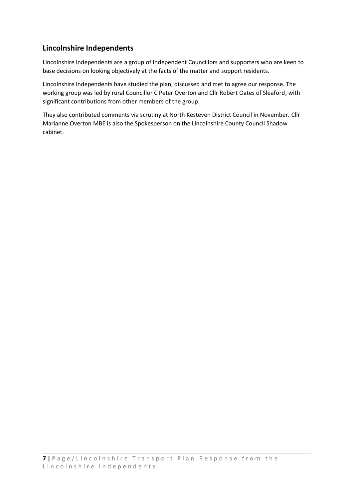# **Lincolnshire Independents**

Lincolnshire Independents are a group of Independent Councillors and supporters who are keen to base decisions on looking objectively at the facts of the matter and support residents.

Lincolnshire Independents have studied the plan, discussed and met to agree our response. The working group was led by rural Councillor C Peter Overton and Cllr Robert Oates of Sleaford, with significant contributions from other members of the group.

They also contributed comments via scrutiny at North Kesteven District Council in November. Cllr Marianne Overton MBE is also the Spokesperson on the Lincolnshire County Council Shadow cabinet.